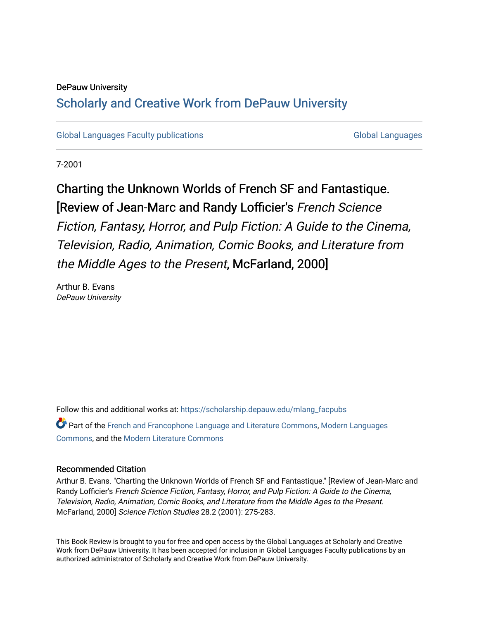#### DePauw University

# Scholarly and [Creative Work from DePauw Univ](https://scholarship.depauw.edu/)ersity

[Global Languages Faculty publications](https://scholarship.depauw.edu/mlang_facpubs) [Global Languages](https://scholarship.depauw.edu/modernlanguages) Global Languages

7-2001

# Charting the Unknown Worlds of French SF and Fantastique. [Review of Jean-Marc and Randy Lofficier's French Science Fiction, Fantasy, Horror, and Pulp Fiction: A Guide to the Cinema, Television, Radio, Animation, Comic Books, and Literature from the Middle Ages to the Present, McFarland, 2000]

Arthur B. Evans DePauw University

Follow this and additional works at: [https://scholarship.depauw.edu/mlang\\_facpubs](https://scholarship.depauw.edu/mlang_facpubs?utm_source=scholarship.depauw.edu%2Fmlang_facpubs%2F28&utm_medium=PDF&utm_campaign=PDFCoverPages) Part of the [French and Francophone Language and Literature Commons,](https://network.bepress.com/hgg/discipline/463?utm_source=scholarship.depauw.edu%2Fmlang_facpubs%2F28&utm_medium=PDF&utm_campaign=PDFCoverPages) [Modern Languages](https://network.bepress.com/hgg/discipline/1130?utm_source=scholarship.depauw.edu%2Fmlang_facpubs%2F28&utm_medium=PDF&utm_campaign=PDFCoverPages) [Commons](https://network.bepress.com/hgg/discipline/1130?utm_source=scholarship.depauw.edu%2Fmlang_facpubs%2F28&utm_medium=PDF&utm_campaign=PDFCoverPages), and the [Modern Literature Commons](https://network.bepress.com/hgg/discipline/1050?utm_source=scholarship.depauw.edu%2Fmlang_facpubs%2F28&utm_medium=PDF&utm_campaign=PDFCoverPages) 

#### Recommended Citation

Arthur B. Evans. "Charting the Unknown Worlds of French SF and Fantastique." [Review of Jean-Marc and Randy Lofficier's French Science Fiction, Fantasy, Horror, and Pulp Fiction: A Guide to the Cinema, Television, Radio, Animation, Comic Books, and Literature from the Middle Ages to the Present. McFarland, 2000] Science Fiction Studies 28.2 (2001): 275-283.

This Book Review is brought to you for free and open access by the Global Languages at Scholarly and Creative Work from DePauw University. It has been accepted for inclusion in Global Languages Faculty publications by an authorized administrator of Scholarly and Creative Work from DePauw University.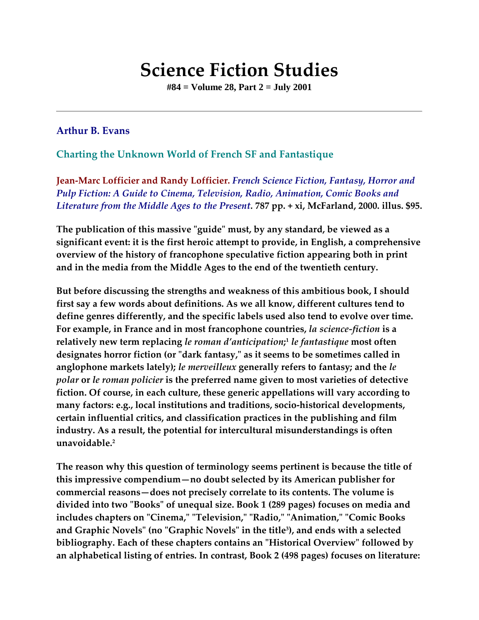# **Science Fiction Studies**

**#84 = Volume 28, Part 2 = July 2001**

# **Arthur B. Evans**

# **Charting the Unknown World of French SF and Fantastique**

**Jean-Marc Lofficier and Randy Lofficier.** *French Science Fiction, Fantasy, Horror and Pulp Fiction: A Guide to Cinema, Television, Radio, Animation, Comic Books and Literature from the Middle Ages to the Present.* **787 pp. + xi, McFarland, 2000. illus. \$95.**

**The publication of this massive "guide" must, by any standard, be viewed as a significant event: it is the first heroic attempt to provide, in English, a comprehensive overview of the history of francophone speculative fiction appearing both in print and in the media from the Middle Ages to the end of the twentieth century.**

**But before discussing the strengths and weakness of this ambitious book, I should first say a few words about definitions. As we all know, different cultures tend to define genres differently, and the specific labels used also tend to evolve over time. For example, in France and in most francophone countries,** *la science-fiction* **is a relatively new term replacing** *le roman d'anticipation***; <sup>1</sup>** *le fantastique* **most often designates horror fiction (or "dark fantasy," as it seems to be sometimes called in anglophone markets lately);** *le merveilleux* **generally refers to fantasy; and the** *le polar* **or** *le roman policier* **is the preferred name given to most varieties of detective fiction. Of course, in each culture, these generic appellations will vary according to many factors: e.g., local institutions and traditions, socio-historical developments, certain influential critics, and classification practices in the publishing and film industry. As a result, the potential for intercultural misunderstandings is often unavoidable.2**

**The reason why this question of terminology seems pertinent is because the title of this impressive compendium—no doubt selected by its American publisher for commercial reasons—does not precisely correlate to its contents. The volume is divided into two "Books" of unequal size. Book 1 (289 pages) focuses on media and includes chapters on "Cinema," "Television," "Radio," "Animation," "Comic Books and Graphic Novels" (no "Graphic Novels" in the title3 ), and ends with a selected bibliography. Each of these chapters contains an "Historical Overview" followed by an alphabetical listing of entries. In contrast, Book 2 (498 pages) focuses on literature:**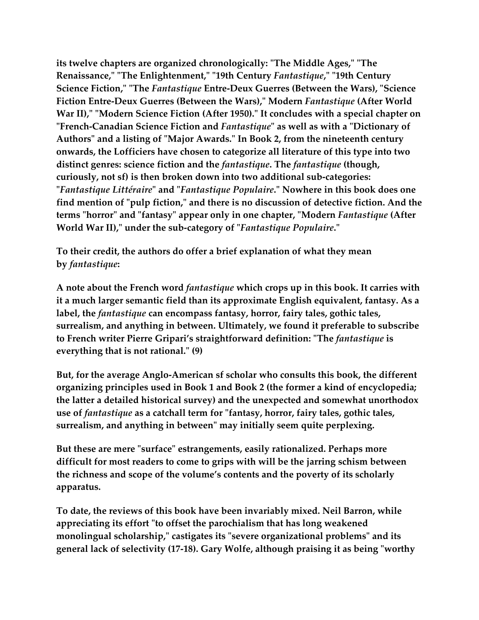**its twelve chapters are organized chronologically: "The Middle Ages," "The Renaissance," "The Enlightenment," "19th Century** *Fantastique***," "19th Century Science Fiction," "The** *Fantastique* **Entre-Deux Guerres (Between the Wars), "Science Fiction Entre-Deux Guerres (Between the Wars)," Modern** *Fantastique* **(After World War II)," "Modern Science Fiction (After 1950)." It concludes with a special chapter on "French-Canadian Science Fiction and** *Fantastique***" as well as with a "Dictionary of Authors" and a listing of "Major Awards." In Book 2, from the nineteenth century onwards, the Lofficiers have chosen to categorize all literature of this type into two distinct genres: science fiction and the** *fantastique***. The** *fantastique* **(though, curiously, not sf) is then broken down into two additional sub-categories: "***Fantastique Littéraire***" and "***Fantastique Populaire***." Nowhere in this book does one find mention of "pulp fiction," and there is no discussion of detective fiction. And the terms "horror" and "fantasy" appear only in one chapter, "Modern** *Fantastique* **(After World War II)," under the sub-category of "***Fantastique Populaire***."**

**To their credit, the authors do offer a brief explanation of what they mean by** *fantastique***:**

**A note about the French word** *fantastique* **which crops up in this book. It carries with it a much larger semantic field than its approximate English equivalent, fantasy. As a label, the** *fantastique* **can encompass fantasy, horror, fairy tales, gothic tales, surrealism, and anything in between. Ultimately, we found it preferable to subscribe to French writer Pierre Gripari's straightforward definition: "The** *fantastique* **is everything that is not rational." (9)**

**But, for the average Anglo-American sf scholar who consults this book, the different organizing principles used in Book 1 and Book 2 (the former a kind of encyclopedia; the latter a detailed historical survey) and the unexpected and somewhat unorthodox use of** *fantastique* **as a catchall term for "fantasy, horror, fairy tales, gothic tales, surrealism, and anything in between" may initially seem quite perplexing.**

**But these are mere "surface" estrangements, easily rationalized. Perhaps more difficult for most readers to come to grips with will be the jarring schism between the richness and scope of the volume's contents and the poverty of its scholarly apparatus.**

**To date, the reviews of this book have been invariably mixed. Neil Barron, while appreciating its effort "to offset the parochialism that has long weakened monolingual scholarship," castigates its "severe organizational problems" and its general lack of selectivity (17-18). Gary Wolfe, although praising it as being "worthy**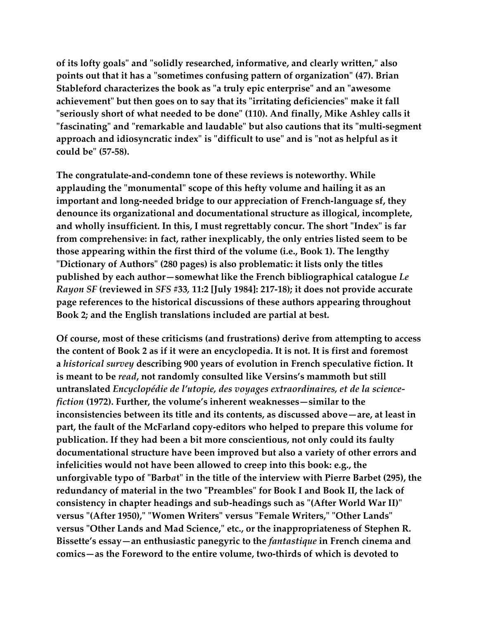**of its lofty goals" and "solidly researched, informative, and clearly written," also points out that it has a "sometimes confusing pattern of organization" (47). Brian Stableford characterizes the book as "a truly epic enterprise" and an "awesome achievement" but then goes on to say that its "irritating deficiencies" make it fall "seriously short of what needed to be done" (110). And finally, Mike Ashley calls it "fascinating" and "remarkable and laudable" but also cautions that its "multi-segment approach and idiosyncratic index" is "difficult to use" and is "not as helpful as it could be" (57-58).**

**The congratulate-and-condemn tone of these reviews is noteworthy. While applauding the "monumental" scope of this hefty volume and hailing it as an important and long-needed bridge to our appreciation of French-language sf, they denounce its organizational and documentational structure as illogical, incomplete, and wholly insufficient. In this, I must regrettably concur. The short "Index" is far from comprehensive: in fact, rather inexplicably, the only entries listed seem to be those appearing within the first third of the volume (i.e., Book 1). The lengthy "Dictionary of Authors" (280 pages) is also problematic: it lists only the titles published by each author—somewhat like the French bibliographical catalogue** *Le Rayon SF* **(reviewed in** *SFS* **#33***,* **11:2 [July 1984]: 217-18); it does not provide accurate page references to the historical discussions of these authors appearing throughout Book 2; and the English translations included are partial at best.**

**Of course, most of these criticisms (and frustrations) derive from attempting to access the content of Book 2 as if it were an encyclopedia. It is not. It is first and foremost a** *historical survey* **describing 900 years of evolution in French speculative fiction. It is meant to be** *read***, not randomly consulted like Versins's mammoth but still untranslated** *Encyclopédie de l'utopie, des voyages extraordinaires, et de la sciencefiction* **(1972). Further, the volume's inherent weaknesses—similar to the inconsistencies between its title and its contents, as discussed above—are, at least in part, the fault of the McFarland copy-editors who helped to prepare this volume for publication. If they had been a bit more conscientious, not only could its faulty documentational structure have been improved but also a variety of other errors and infelicities would not have been allowed to creep into this book: e.g., the unforgivable typo of "Barb***a***t" in the title of the interview with Pierre Barbet (295), the redundancy of material in the two "Preambles" for Book I and Book II, the lack of consistency in chapter headings and sub-headings such as "(After World War II)" versus "(After 1950)," "Women Writers" versus "Female Writers," "Other Lands" versus "Other Lands and Mad Science," etc., or the inappropriateness of Stephen R. Bissette's essay—an enthusiastic panegyric to the** *fantastique* **in French cinema and comics—as the Foreword to the entire volume, two-thirds of which is devoted to**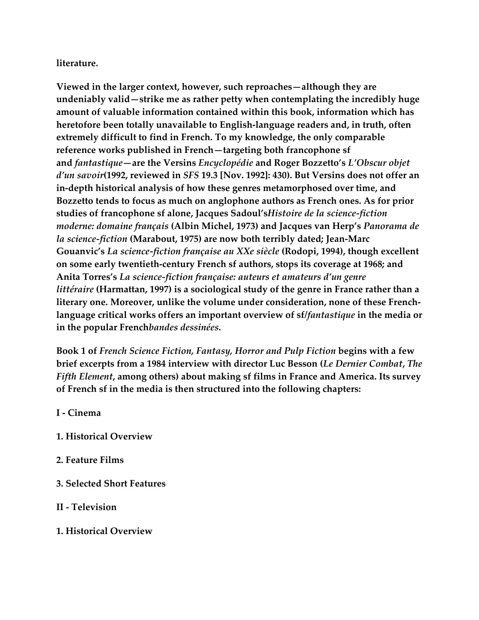# **literature.**

**Viewed in the larger context, however, such reproaches—although they are undeniably valid—strike me as rather petty when contemplating the incredibly huge amount of valuable information contained within this book, information which has heretofore been totally unavailable to English-language readers and, in truth, often extremely difficult to find in French. To my knowledge, the only comparable reference works published in French—targeting both francophone sf and** *fantastique***—are the Versins** *Encyclopédie* **and Roger Bozzetto's** *L'Obscur objet d'un savoir***(1992, reviewed in** *SFS* **19.3 [Nov. 1992]: 430). But Versins does not offer an in-depth historical analysis of how these genres metamorphosed over time, and Bozzetto tends to focus as much on anglophone authors as French ones. As for prior studies of francophone sf alone, Jacques Sadoul's***Histoire de la science-fiction moderne: domaine français* **(Albin Michel, 1973) and Jacques van Herp's** *Panorama de la science-fiction* **(Marabout, 1975) are now both terribly dated; Jean-Marc Gouanvic's** *La science-fiction française au XXe siècle* **(Rodopi, 1994), though excellent on some early twentieth-century French sf authors, stops its coverage at 1968; and Anita Torres's** *La science-fiction française: auteurs et amateurs d'un genre littéraire* **(Harmattan, 1997) is a sociological study of the genre in France rather than a literary one. Moreover, unlike the volume under consideration, none of these Frenchlanguage critical works offers an important overview of sf/***fantastique* **in the media or in the popular French***bandes dessinées***.**

**Book 1 of** *French Science Fiction, Fantasy, Horror and Pulp Fiction* **begins with a few brief excerpts from a 1984 interview with director Luc Besson (***Le Dernier Combat***,** *The Fifth Element***, among others) about making sf films in France and America. Its survey of French sf in the media is then structured into the following chapters:**

**I - Cinema**

- **1. Historical Overview**
- **2. Feature Films**
- **3. Selected Short Features**
- **II - Television**
- **1. Historical Overview**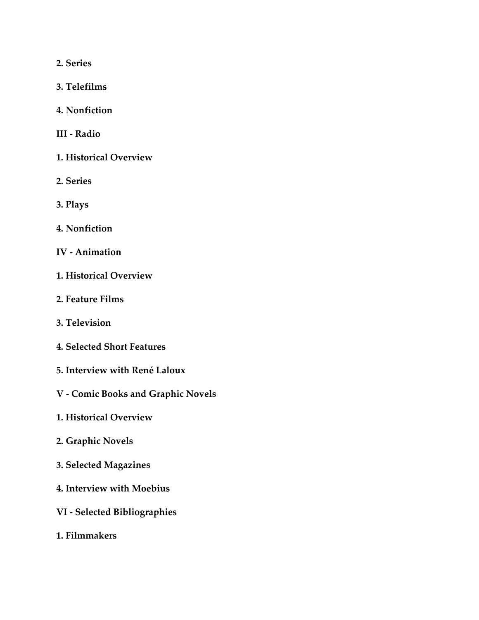**2. Series**

- **3. Telefilms**
- **4. Nonfiction**
- **III - Radio**
- **1. Historical Overview**
- **2. Series**
- **3. Plays**
- **4. Nonfiction**
- **IV - Animation**
- **1. Historical Overview**
- **2. Feature Films**
- **3. Television**
- **4. Selected Short Features**
- **5. Interview with René Laloux**
- **V - Comic Books and Graphic Novels**
- **1. Historical Overview**
- **2. Graphic Novels**
- **3. Selected Magazines**
- **4. Interview with Moebius**
- **VI - Selected Bibliographies**
- **1. Filmmakers**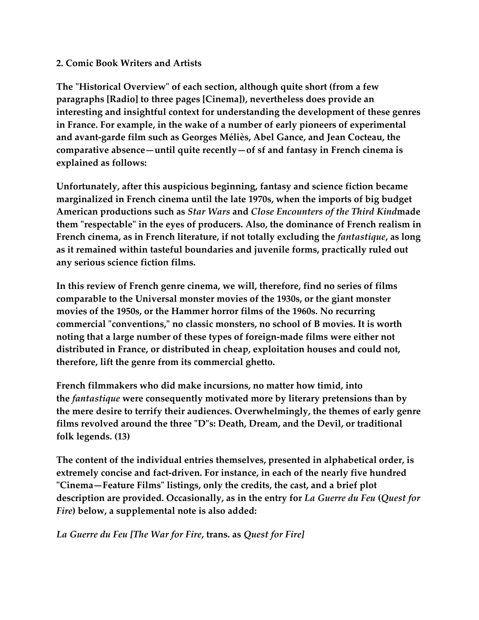## **2. Comic Book Writers and Artists**

**The "Historical Overview" of each section, although quite short (from a few paragraphs [Radio] to three pages [Cinema]), nevertheless does provide an interesting and insightful context for understanding the development of these genres in France. For example, in the wake of a number of early pioneers of experimental and avant-garde film such as Georges Méliès, Abel Gance, and Jean Cocteau, the comparative absence—until quite recently—of sf and fantasy in French cinema is explained as follows:**

**Unfortunately, after this auspicious beginning, fantasy and science fiction became marginalized in French cinema until the late 1970s, when the imports of big budget American productions such as** *Star Wars* **and** *Close Encounters of the Third Kind***made them "respectable" in the eyes of producers. Also, the dominance of French realism in French cinema, as in French literature, if not totally excluding the** *fantastique***, as long as it remained within tasteful boundaries and juvenile forms, practically ruled out any serious science fiction films.**

**In this review of French genre cinema, we will, therefore, find no series of films comparable to the Universal monster movies of the 1930s, or the giant monster movies of the 1950s, or the Hammer horror films of the 1960s. No recurring commercial "conventions," no classic monsters, no school of B movies. It is worth noting that a large number of these types of foreign-made films were either not distributed in France, or distributed in cheap, exploitation houses and could not, therefore, lift the genre from its commercial ghetto.**

**French filmmakers who did make incursions, no matter how timid, into the** *fantastique* **were consequently motivated more by literary pretensions than by the mere desire to terrify their audiences. Overwhelmingly, the themes of early genre films revolved around the three "D"s: Death, Dream, and the Devil, or traditional folk legends. (13)**

**The content of the individual entries themselves, presented in alphabetical order, is extremely concise and fact-driven. For instance, in each of the nearly five hundred "Cinema—Feature Films" listings, only the credits, the cast, and a brief plot description are provided. Occasionally, as in the entry for** *La Guerre du Feu* **(***Quest for Fire***) below, a supplemental note is also added:**

*La Guerre du Feu [The War for Fire***, trans. as** *Quest for Fire]*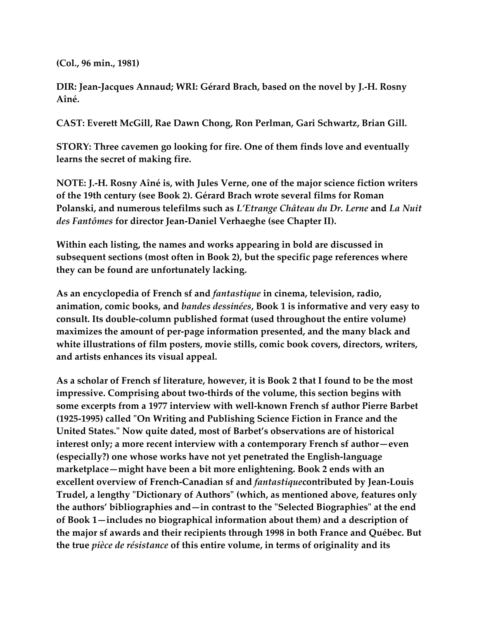**(Col., 96 min., 1981)**

**DIR: Jean-Jacques Annaud; WRI: Gérard Brach, based on the novel by J.-H. Rosny Aîné.**

**CAST: Everett McGill, Rae Dawn Chong, Ron Perlman, Gari Schwartz, Brian Gill.**

**STORY: Three cavemen go looking for fire. One of them finds love and eventually learns the secret of making fire.**

**NOTE: J.-H. Rosny Aîné is, with Jules Verne, one of the major science fiction writers of the 19th century (see Book 2). Gérard Brach wrote several films for Roman Polanski, and numerous telefilms such as** *L'Etrange Château du Dr. Lerne* **and** *La Nuit des Fantômes* **for director Jean-Daniel Verhaeghe (see Chapter II).**

**Within each listing, the names and works appearing in bold are discussed in subsequent sections (most often in Book 2), but the specific page references where they can be found are unfortunately lacking.**

**As an encyclopedia of French sf and** *fantastique* **in cinema, television, radio, animation, comic books, and** *bandes dessinées***, Book 1 is informative and very easy to consult. Its double-column published format (used throughout the entire volume) maximizes the amount of per-page information presented, and the many black and white illustrations of film posters, movie stills, comic book covers, directors, writers, and artists enhances its visual appeal.**

**As a scholar of French sf literature, however, it is Book 2 that I found to be the most impressive. Comprising about two-thirds of the volume, this section begins with some excerpts from a 1977 interview with well-known French sf author Pierre Barbet (1925-1995) called "On Writing and Publishing Science Fiction in France and the United States." Now quite dated, most of Barbet's observations are of historical interest only; a more recent interview with a contemporary French sf author—even (especially?) one whose works have not yet penetrated the English-language marketplace—might have been a bit more enlightening. Book 2 ends with an excellent overview of French-Canadian sf and** *fantastique***contributed by Jean-Louis Trudel, a lengthy "Dictionary of Authors" (which, as mentioned above, features only the authors' bibliographies and—in contrast to the "Selected Biographies" at the end of Book 1—includes no biographical information about them) and a description of the major sf awards and their recipients through 1998 in both France and Québec. But the true** *pièce de résistance* **of this entire volume, in terms of originality and its**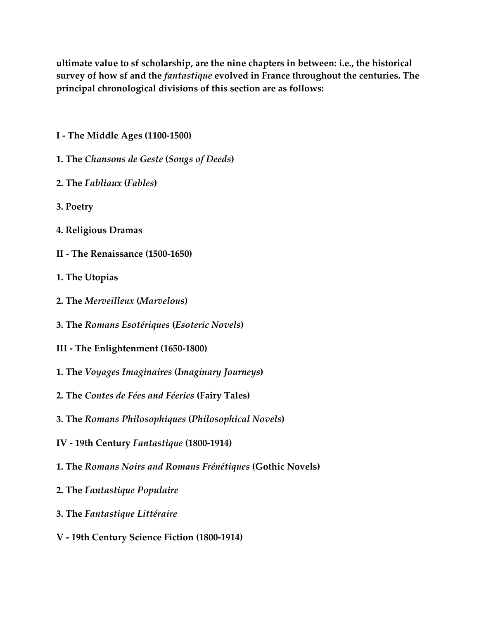**ultimate value to sf scholarship, are the nine chapters in between: i.e., the historical survey of how sf and the** *fantastique* **evolved in France throughout the centuries. The principal chronological divisions of this section are as follows:**

- **I - The Middle Ages (1100-1500)**
- **1. The** *Chansons de Geste* **(***Songs of Deeds***)**
- **2. The** *Fabliaux* **(***Fables***)**
- **3. Poetry**
- **4. Religious Dramas**
- **II - The Renaissance (1500-1650)**
- **1. The Utopias**
- **2. The** *Merveilleux* **(***Marvelous***)**
- **3. The** *Romans Esotériques* **(***Esoteric Novels***)**
- **III - The Enlightenment (1650-1800)**
- **1. The** *Voyages Imaginaires* **(***Imaginary Journeys***)**
- **2. The** *Contes de Fées and Féeries* **(Fairy Tales)**
- **3. The** *Romans Philosophiques* **(***Philosophical Novels***)**
- **IV - 19th Century** *Fantastique* **(1800-1914)**
- **1. The** *Romans Noirs and Romans Frénétiques* **(Gothic Novels)**
- **2. The** *Fantastique Populaire*
- **3. The** *Fantastique Littéraire*
- **V - 19th Century Science Fiction (1800-1914)**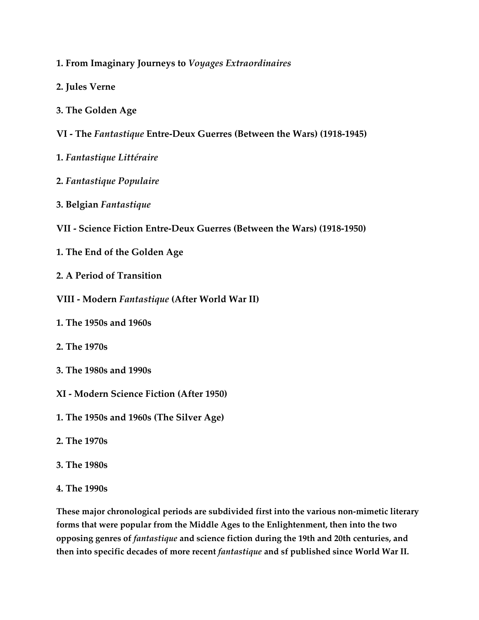- **1. From Imaginary Journeys to** *Voyages Extraordinaires*
- **2. Jules Verne**
- **3. The Golden Age**
- **VI - The** *Fantastique* **Entre-Deux Guerres (Between the Wars) (1918-1945)**
- **1.** *Fantastique Littéraire*
- **2.** *Fantastique Populaire*
- **3. Belgian** *Fantastique*
- **VII - Science Fiction Entre-Deux Guerres (Between the Wars) (1918-1950)**
- **1. The End of the Golden Age**
- **2. A Period of Transition**
- **VIII - Modern** *Fantastique* **(After World War II)**
- **1. The 1950s and 1960s**
- **2. The 1970s**
- **3. The 1980s and 1990s**
- **XI - Modern Science Fiction (After 1950)**
- **1. The 1950s and 1960s (The Silver Age)**
- **2. The 1970s**
- **3. The 1980s**
- **4. The 1990s**

**These major chronological periods are subdivided first into the various non-mimetic literary forms that were popular from the Middle Ages to the Enlightenment, then into the two opposing genres of** *fantastique* **and science fiction during the 19th and 20th centuries, and then into specific decades of more recent** *fantastique* **and sf published since World War II.**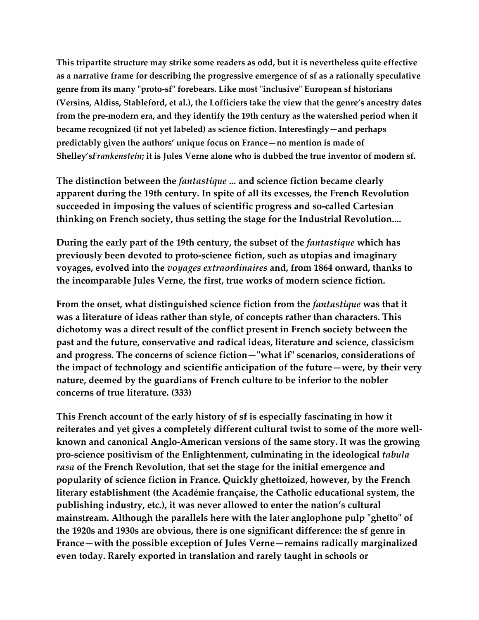**This tripartite structure may strike some readers as odd, but it is nevertheless quite effective as a narrative frame for describing the progressive emergence of sf as a rationally speculative genre from its many "proto-sf" forebears. Like most "inclusive" European sf historians (Versins, Aldiss, Stableford, et al.), the Lofficiers take the view that the genre's ancestry dates from the pre-modern era, and they identify the 19th century as the watershed period when it became recognized (if not yet labeled) as science fiction. Interestingly—and perhaps predictably given the authors' unique focus on France—no mention is made of Shelley's***Frankenstein***; it is Jules Verne alone who is dubbed the true inventor of modern sf.**

**The distinction between the** *fantastique* **... and science fiction became clearly apparent during the 19th century. In spite of all its excesses, the French Revolution succeeded in imposing the values of scientific progress and so-called Cartesian thinking on French society, thus setting the stage for the Industrial Revolution....**

**During the early part of the 19th century, the subset of the** *fantastique* **which has previously been devoted to proto-science fiction, such as utopias and imaginary voyages, evolved into the** *voyages extraordinaires* **and, from 1864 onward, thanks to the incomparable Jules Verne, the first, true works of modern science fiction.**

**From the onset, what distinguished science fiction from the** *fantastique* **was that it was a literature of ideas rather than style, of concepts rather than characters. This dichotomy was a direct result of the conflict present in French society between the past and the future, conservative and radical ideas, literature and science, classicism and progress. The concerns of science fiction—"what if" scenarios, considerations of the impact of technology and scientific anticipation of the future—were, by their very nature, deemed by the guardians of French culture to be inferior to the nobler concerns of true literature. (333)**

**This French account of the early history of sf is especially fascinating in how it reiterates and yet gives a completely different cultural twist to some of the more wellknown and canonical Anglo-American versions of the same story. It was the growing pro-science positivism of the Enlightenment, culminating in the ideological** *tabula rasa* **of the French Revolution, that set the stage for the initial emergence and popularity of science fiction in France. Quickly ghettoized, however, by the French literary establishment (the Académie française, the Catholic educational system, the publishing industry, etc.), it was never allowed to enter the nation's cultural mainstream. Although the parallels here with the later anglophone pulp "ghetto" of the 1920s and 1930s are obvious, there is one significant difference: the sf genre in France—with the possible exception of Jules Verne—remains radically marginalized even today. Rarely exported in translation and rarely taught in schools or**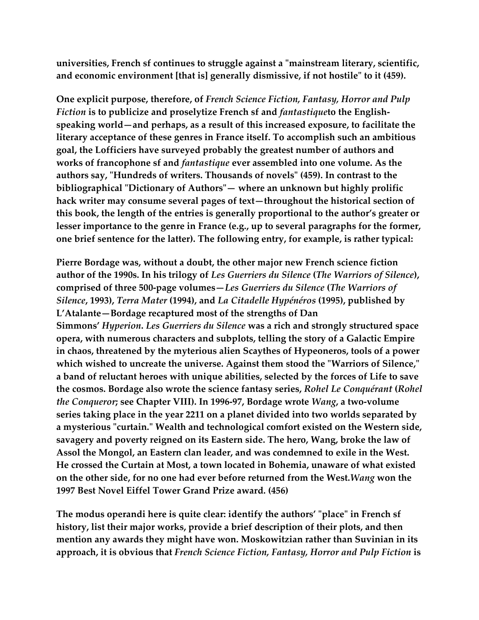**universities, French sf continues to struggle against a "mainstream literary, scientific, and economic environment [that is] generally dismissive, if not hostile" to it (459).**

**One explicit purpose, therefore, of** *French Science Fiction, Fantasy, Horror and Pulp Fiction* **is to publicize and proselytize French sf and** *fantastique***to the Englishspeaking world—and perhaps, as a result of this increased exposure, to facilitate the literary acceptance of these genres in France itself. To accomplish such an ambitious goal, the Lofficiers have surveyed probably the greatest number of authors and works of francophone sf and** *fantastique* **ever assembled into one volume. As the authors say, "Hundreds of writers. Thousands of novels" (459). In contrast to the bibliographical "Dictionary of Authors"— where an unknown but highly prolific hack writer may consume several pages of text—throughout the historical section of this book, the length of the entries is generally proportional to the author's greater or lesser importance to the genre in France (e.g., up to several paragraphs for the former, one brief sentence for the latter). The following entry, for example, is rather typical:**

**Pierre Bordage was, without a doubt, the other major new French science fiction author of the 1990s. In his trilogy of** *Les Guerriers du Silence* **(***The Warriors of Silence***), comprised of three 500-page volumes—***Les Guerriers du Silence* **(***The Warriors of Silence***, 1993),** *Terra Mater* **(1994), and** *La Citadelle Hypénéros* **(1995), published by L'Atalante—Bordage recaptured most of the strengths of Dan Simmons'** *Hyperion***.** *Les Guerriers du Silence* **was a rich and strongly structured space opera, with numerous characters and subplots, telling the story of a Galactic Empire in chaos, threatened by the myterious alien Scaythes of Hypeoneros, tools of a power which wished to uncreate the universe. Against them stood the "Warriors of Silence," a band of reluctant heroes with unique abilities, selected by the forces of Life to save the cosmos. Bordage also wrote the science fantasy series,** *Rohel Le Conquérant* **(***Rohel the Conqueror***; see Chapter VIII). In 1996-97, Bordage wrote** *Wang***, a two-volume series taking place in the year 2211 on a planet divided into two worlds separated by a mysterious "curtain." Wealth and technological comfort existed on the Western side, savagery and poverty reigned on its Eastern side. The hero, Wang, broke the law of Assol the Mongol, an Eastern clan leader, and was condemned to exile in the West. He crossed the Curtain at Most, a town located in Bohemia, unaware of what existed on the other side, for no one had ever before returned from the West.***Wang* **won the 1997 Best Novel Eiffel Tower Grand Prize award. (456)**

**The modus operandi here is quite clear: identify the authors' "place" in French sf history, list their major works, provide a brief description of their plots, and then mention any awards they might have won. Moskowitzian rather than Suvinian in its approach, it is obvious that** *French Science Fiction, Fantasy, Horror and Pulp Fiction* **is**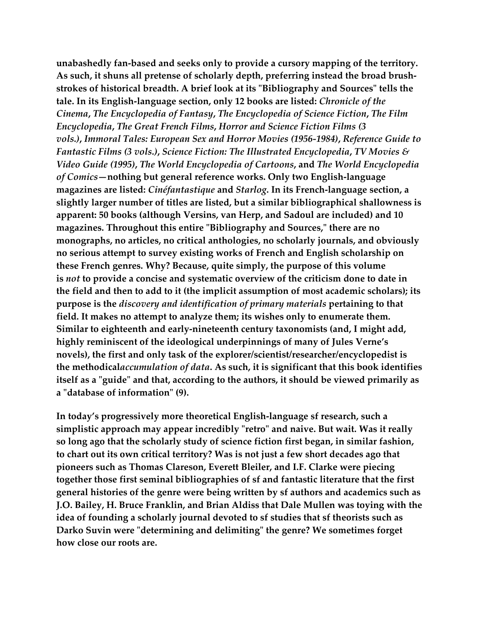**unabashedly fan-based and seeks only to provide a cursory mapping of the territory. As such, it shuns all pretense of scholarly depth, preferring instead the broad brushstrokes of historical breadth. A brief look at its "Bibliography and Sources" tells the tale. In its English-language section, only 12 books are listed:** *Chronicle of the Cinema***,** *The Encyclopedia of Fantasy***,** *The Encyclopedia of Science Fiction***,** *The Film Encyclopedia***,** *The Great French Films***,** *Horror and Science Fiction Films (3 vols.)***,** *Immoral Tales: European Sex and Horror Movies (1956-1984)***,** *Reference Guide to Fantastic Films (3 vols.)***,** *Science Fiction: The Illustrated Encyclopedia***,** *TV Movies & Video Guide (1995)***,** *The World Encyclopedia of Cartoons***, and** *The World Encyclopedia of Comics***—nothing but general reference works. Only two English-language magazines are listed:** *Cinéfantastique* **and** *Starlog***. In its French-language section, a slightly larger number of titles are listed, but a similar bibliographical shallowness is apparent: 50 books (although Versins, van Herp, and Sadoul are included) and 10 magazines. Throughout this entire "Bibliography and Sources," there are no monographs, no articles, no critical anthologies, no scholarly journals, and obviously no serious attempt to survey existing works of French and English scholarship on these French genres. Why? Because, quite simply, the purpose of this volume is** *not* **to provide a concise and systematic overview of the criticism done to date in the field and then to add to it (the implicit assumption of most academic scholars); its purpose is the** *discovery and identification of primary materials* **pertaining to that field. It makes no attempt to analyze them; its wishes only to enumerate them. Similar to eighteenth and early-nineteenth century taxonomists (and, I might add, highly reminiscent of the ideological underpinnings of many of Jules Verne's novels), the first and only task of the explorer/scientist/researcher/encyclopedist is the methodical***accumulation of data***. As such, it is significant that this book identifies itself as a "guide" and that, according to the authors, it should be viewed primarily as a "database of information" (9).**

**In today's progressively more theoretical English-language sf research, such a simplistic approach may appear incredibly "retro" and naive. But wait. Was it really so long ago that the scholarly study of science fiction first began, in similar fashion, to chart out its own critical territory? Was is not just a few short decades ago that pioneers such as Thomas Clareson, Everett Bleiler, and I.F. Clarke were piecing together those first seminal bibliographies of sf and fantastic literature that the first general histories of the genre were being written by sf authors and academics such as J.O. Bailey, H. Bruce Franklin, and Brian Aldiss that Dale Mullen was toying with the idea of founding a scholarly journal devoted to sf studies that sf theorists such as Darko Suvin were "determining and delimiting" the genre? We sometimes forget how close our roots are.**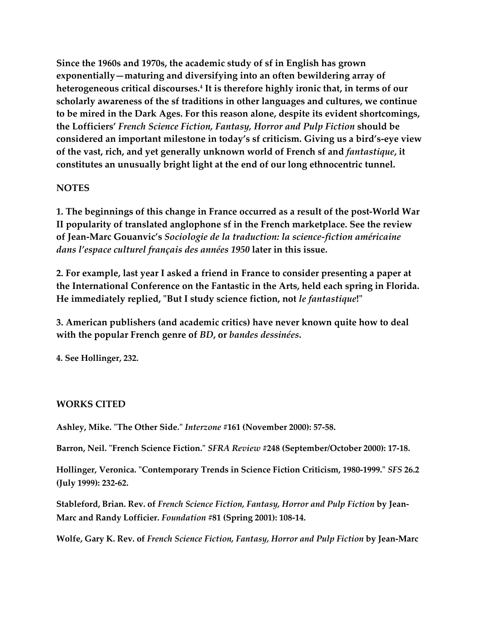**Since the 1960s and 1970s, the academic study of sf in English has grown exponentially—maturing and diversifying into an often bewildering array of heterogeneous critical discourses.4 It is therefore highly ironic that, in terms of our scholarly awareness of the sf traditions in other languages and cultures, we continue to be mired in the Dark Ages. For this reason alone, despite its evident shortcomings, the Lofficiers'** *French Science Fiction, Fantasy, Horror and Pulp Fiction* **should be considered an important milestone in today's sf criticism. Giving us a bird's-eye view of the vast, rich, and yet generally unknown world of French sf and** *fantastique***, it constitutes an unusually bright light at the end of our long ethnocentric tunnel.**

### **NOTES**

**1. The beginnings of this change in France occurred as a result of the post-World War II popularity of translated anglophone sf in the French marketplace. See the review of Jean-Marc Gouanvic's** *Sociologie de la traduction: la science-fiction américaine dans l'espace culturel français des années 1950* **later in this issue.**

**2. For example, last year I asked a friend in France to consider presenting a paper at the International Conference on the Fantastic in the Arts, held each spring in Florida. He immediately replied, "But I study science fiction, not** *le fantastique***!"**

**3. American publishers (and academic critics) have never known quite how to deal with the popular French genre of** *BD***, or** *bandes dessinées***.**

**4. See Hollinger, 232.**

# **WORKS CITED**

**Ashley, Mike. "The Other Side."** *Interzone* **#161 (November 2000): 57-58.**

**Barron, Neil. "French Science Fiction."** *SFRA Review* **#248 (September/October 2000): 17-18.**

**Hollinger, Veronica. "Contemporary Trends in Science Fiction Criticism, 1980-1999."** *SFS* **26.2 (July 1999): 232-62.**

**Stableford, Brian. Rev. of** *French Science Fiction, Fantasy, Horror and Pulp Fiction* **by Jean-Marc and Randy Lofficier.** *Foundation* **#81 (Spring 2001): 108-14.**

**Wolfe, Gary K. Rev. of** *French Science Fiction, Fantasy, Horror and Pulp Fiction* **by Jean-Marc**